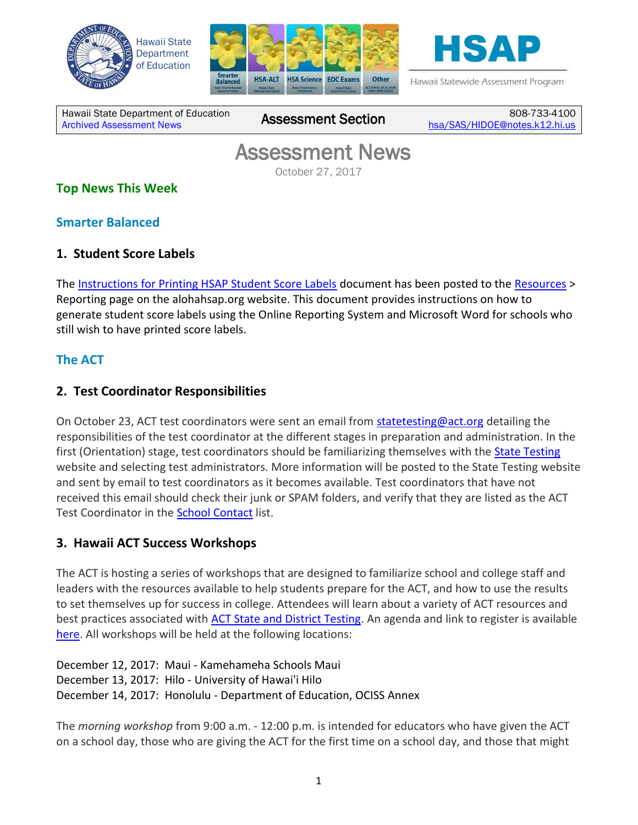





Hawaii Statewide Assessment Program

Hawaii State Department of Education Hawall State Department of Equitation<br>[Archived Assessment News](http://alohahsap.org/SMARTERBALANCED/resources/?section=8)

808-733-4100 [hsa/SAS/HIDOE@notes.k12.hi.us](mailto:hsa/SAS/HIDOE@notes.k12.hi.us)

# Assessment News

October 27, 2017

# **Top News This Week**

### **Smarter Balanced**

### **1. Student Score Labels**

The [Instructions for Printing HSAP Student Score Labels](http://alohahsap.org/SMARTERBALANCED/resources/) document has been posted to the [Resources](http://alohahsap.org/SMARTERBALANCED/resources/) > Reporting page on the alohahsap.org website. This document provides instructions on how to generate student score labels using the Online Reporting System and Microsoft Word for schools who still wish to have printed score labels.

# **The ACT**

### **2. Test Coordinator Responsibilities**

On October 23, ACT test coordinators were sent an email from [statetesting@act.org](mailto:statetesting@act.org) detailing the responsibilities of the test coordinator at the different stages in preparation and administration. In the first (Orientation) stage, test coordinators should be familiarizing themselves with the **State Testing** website and selecting test administrators. More information will be posted to the State Testing website and sent by email to test coordinators as it becomes available. Test coordinators that have not received this email should check their junk or SPAM folders, and verify that they are listed as the ACT Test Coordinator in the **School Contact list**.

### **3. Hawaii ACT Success Workshops**

The ACT is hosting a series of workshops that are designed to familiarize school and college staff and leaders with the resources available to help students prepare for the ACT, and how to use the results to set themselves up for success in college. Attendees will learn about a variety of ACT resources and best practices associated with **ACT State and District Testing**. An agenda and link to register is available [here.](http://www.cvent.com/events/2017-hawai-i-act-success-workshops/event-summary-d50f5f6f8d5240da9929b2cd55017027.aspx?mkt_tok=eyJpIjoiWlRRME1qRmtNR00xTVRsaCIsInQiOiJQd2gzalM3cW5sQkJoV3ZMZEtmRjlpQzlLMDRDbFg0emNKdHhvK3JSenR1ZUxYZ2JaXC9BMVh4RWorbG1UaWFDbFYwc0dYU2phaDhVekNtU2JuNmFtMXBpWlp0NWRBTzdEYUgxd1wvU2RvVlZoZm5JemJ6Q2NYdWdtZVwvdTFHN25pcSJ9) All workshops will be held at the following locations:

December 12, 2017: Maui - Kamehameha Schools Maui December 13, 2017: Hilo - University of Hawai'i Hilo December 14, 2017: Honolulu - Department of Education, OCISS Annex

The *morning workshop* from 9:00 a.m. - 12:00 p.m. is intended for educators who have given the ACT on a school day, those who are giving the ACT for the first time on a school day, and those that might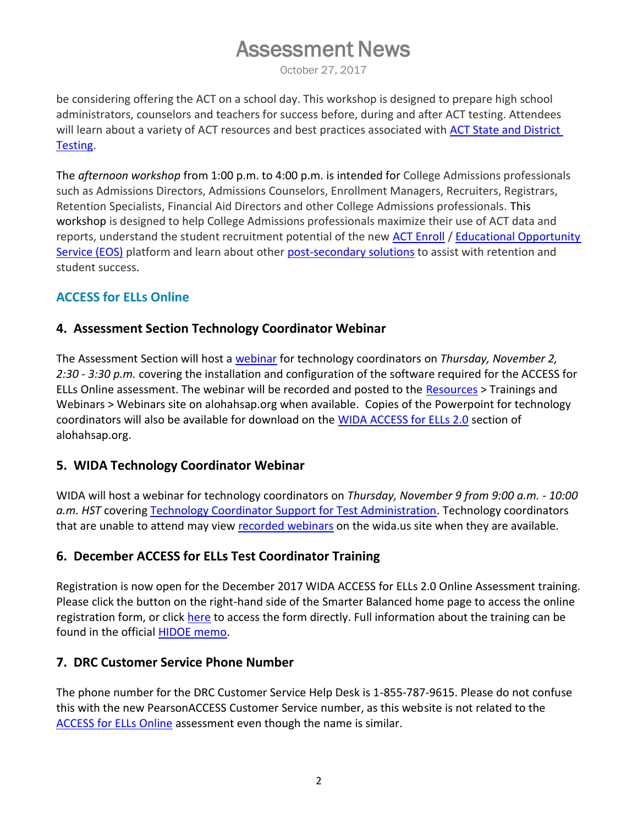# Assessment News

October 27, 2017

be considering offering the ACT on a school day. This workshop is designed to prepare high school administrators, counselors and teachers for success before, during and after ACT testing. Attendees will learn about a variety of ACT resources and best practices associated with [ACT State and District](http://www.act.org/content/act/en/products-and-services/the-act-educator/states-and-districts.html)  [Testing.](http://www.act.org/content/act/en/products-and-services/the-act-educator/states-and-districts.html)

The *afternoon workshop* from 1:00 p.m. to 4:00 p.m. is intended for College Admissions professionals such as Admissions Directors, Admissions Counselors, Enrollment Managers, Recruiters, Registrars, Retention Specialists, Financial Aid Directors and other College Admissions professionals. This workshop is designed to help College Admissions professionals maximize their use of ACT data and reports, understand the student recruitment potential of the new [ACT Enroll](http://mkto-ab080206.com/AG0G05EZ00l9cbo00Z0R0mR) / [Educational Opportunity](http://mkto-ab080206.com/qcRE090mZH0l5G00Z0bS00o)  [Service \(EOS\)](http://mkto-ab080206.com/qcRE090mZH0l5G00Z0bS00o) platform and learn about other [post-secondary solutions](http://mkto-ab080206.com/O0G0b5oR0000lEZT0I09cmZ) to assist with retention and student success.

### **ACCESS for ELLs Online**

### **4. Assessment Section Technology Coordinator Webinar**

The Assessment Section will host a [webinar](https://hvln.webex.com/hvln/j.php?MTID=m0325c9f578accd61fa4b758530311454) for technology coordinators on *Thursday, November 2, 2:30 - 3:30 p.m.* covering the installation and configuration of the software required for the ACCESS for ELLs Online assessment. The webinar will be recorded and posted to the [Resources](http://alohahsap.org/SMARTERBALANCED/resources/) > Trainings and Webinars > Webinars site on alohahsap.org when available. Copies of the Powerpoint for technology coordinators will also be available for download on the [WIDA ACCESS for ELLs 2.0](http://alohahsap.org/HSA/other/#section3) section of alohahsap.org.

### **5. WIDA Technology Coordinator Webinar**

WIDA will host a webinar for technology coordinators on *Thursday, November 9 from 9:00 a.m. - 10:00 a.m. HST* covering [Technology Coordinator Support for Test Administration.](https://wida1k.webex.com/mw3200/mywebex/default.do?nomenu=true&siteurl=wida1k&service=6&rnd=0.401005224587052&main_url=https%3A%2F%2Fwida1k.webex.com%2Fec3200%2Feventcenter%2Fevent%2FeventAction.do%3FtheAction%3Ddetail%26%26%26EMK%3D4832534b00000004c7568151eb9e62c3588a21bbe04243f8fca8b31978bdcd4910e278dee5026548%26siteurl%3Dwida1k%26confViewID%3D66462130947260057%26encryptTicket%3DSDJTSwAAAAQwQlkLgm9XzJsyjvWkDOWol6TclGhe6CFF4vRD8-MQRw2%26) Technology coordinators that are unable to attend may view [recorded webinars](https://www.wida.us/assessment/ACCESS%202.0/WebinarRecordings.aspx) on the wida.us site when they are available.

### **6. December ACCESS for ELLs Test Coordinator Training**

Registration is now open for the December 2017 WIDA ACCESS for ELLs 2.0 Online Assessment training. Please click the button on the right-hand side of the Smarter Balanced home page to access the online registration form, or click [here](http://events.constantcontact.com/register/event?llr=zuii4ejab&oeidk=a07eeq8v2hu18eb7837) to access the form directly. Full information about the training can be found in the official [HIDOE memo.](http://alohahsap.org/SMARTERBALANCED/wp-content/uploads/Memo_December-2017-WIDA-ACCESS-Training_102017.pdf)

### **7. DRC Customer Service Phone Number**

The phone number for the DRC Customer Service Help Desk is 1-855-787-9615. Please do not confuse this with the new PearsonACCESS Customer Service number, as this website is not related to the [ACCESS for ELLs Online](https://www.drcedirect.com/all/eca-portal-ui/welcome/WIDA) assessment even though the name is similar.